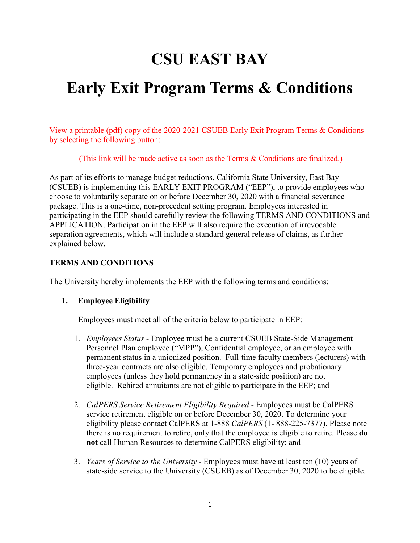# **CSU EAST BAY**

## **Early Exit Program Terms & Conditions**

View a printable (pdf) copy of the 2020-2021 CSUEB Early Exit Program Terms & Conditions by selecting the following button:

(This link will be made active as soon as the Terms & Conditions are finalized.)

As part of its efforts to manage budget reductions, California State University, East Bay (CSUEB) is implementing this EARLY EXIT PROGRAM ("EEP"), to provide employees who choose to voluntarily separate on or before December 30, 2020 with a financial severance package. This is a one-time, non-precedent setting program. Employees interested in participating in the EEP should carefully review the following TERMS AND CONDITIONS and APPLICATION. Participation in the EEP will also require the execution of irrevocable separation agreements, which will include a standard general release of claims, as further explained below.

### **TERMS AND CONDITIONS**

The University hereby implements the EEP with the following terms and conditions:

### **1. Employee Eligibility**

Employees must meet all of the criteria below to participate in EEP:

- 1. *Employees Status* Employee must be a current CSUEB State-Side Management Personnel Plan employee ("MPP"), Confidential employee, or an employee with permanent status in a unionized position. Full-time faculty members (lecturers) with three-year contracts are also eligible. Temporary employees and probationary employees (unless they hold permanency in a state-side position) are not eligible. Rehired annuitants are not eligible to participate in the EEP; and
- 2. *CalPERS Service Retirement Eligibility Required* Employees must be CalPERS service retirement eligible on or before December 30, 2020. To determine your eligibility please contact CalPERS at 1-888 *CalPERS* (1- 888-225-7377). Please note there is no requirement to retire, only that the employee is eligible to retire. Please **do not** call Human Resources to determine CalPERS eligibility; and
- 3. *Years of Service to the University* Employees must have at least ten (10) years of state-side service to the University (CSUEB) as of December 30, 2020 to be eligible.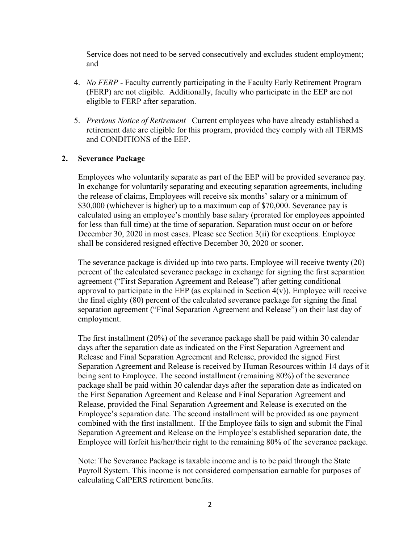Service does not need to be served consecutively and excludes student employment; and

- 4. *No FERP* Faculty currently participating in the Faculty Early Retirement Program (FERP) are not eligible. Additionally, faculty who participate in the EEP are not eligible to FERP after separation.
- 5. *Previous Notice of Retirement* Current employees who have already established a retirement date are eligible for this program, provided they comply with all TERMS and CONDITIONS of the EEP.

#### **2. Severance Package**

Employees who voluntarily separate as part of the EEP will be provided severance pay. In exchange for voluntarily separating and executing separation agreements, including the release of claims, Employees will receive six months' salary or a minimum of \$30,000 (whichever is higher) up to a maximum cap of \$70,000. Severance pay is calculated using an employee's monthly base salary (prorated for employees appointed for less than full time) at the time of separation. Separation must occur on or before December 30, 2020 in most cases. Please see Section 3(ii) for exceptions. Employee shall be considered resigned effective December 30, 2020 or sooner.

The severance package is divided up into two parts. Employee will receive twenty (20) percent of the calculated severance package in exchange for signing the first separation agreement ("First Separation Agreement and Release") after getting conditional approval to participate in the EEP (as explained in Section  $4(v)$ ). Employee will receive the final eighty (80) percent of the calculated severance package for signing the final separation agreement ("Final Separation Agreement and Release") on their last day of employment.

The first installment (20%) of the severance package shall be paid within 30 calendar days after the separation date as indicated on the First Separation Agreement and Release and Final Separation Agreement and Release, provided the signed First Separation Agreement and Release is received by Human Resources within 14 days of it being sent to Employee. The second installment (remaining 80%) of the severance package shall be paid within 30 calendar days after the separation date as indicated on the First Separation Agreement and Release and Final Separation Agreement and Release, provided the Final Separation Agreement and Release is executed on the Employee's separation date. The second installment will be provided as one payment combined with the first installment. If the Employee fails to sign and submit the Final Separation Agreement and Release on the Employee's established separation date, the Employee will forfeit his/her/their right to the remaining 80% of the severance package.

Note: The Severance Package is taxable income and is to be paid through the State Payroll System. This income is not considered compensation earnable for purposes of calculating CalPERS retirement benefits.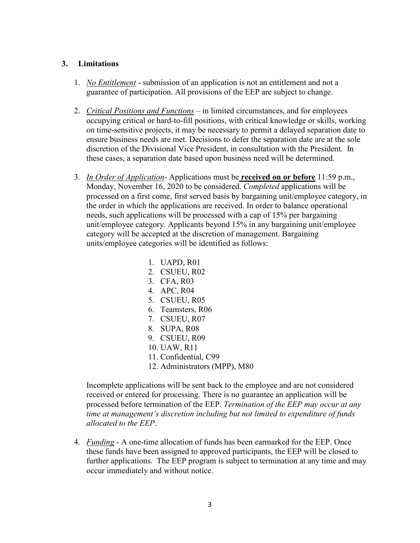### **3. Limitations**

- 1. *No Entitlement* submission of an application is not an entitlement and not a guarantee of participation. All provisions of the EEP are subject to change.
- 2. *Critical Positions and Functions* in limited circumstances, and for employees occupying critical or hard-to-fill positions, with critical knowledge or skills, working on time-sensitive projects, it may be necessary to permit a delayed separation date to ensure business needs are met. Decisions to defer the separation date are at the sole discretion of the Divisional Vice President, in consultation with the President. In these cases, a separation date based upon business need will be determined.
- 3. *In Order of Application* Applications must be **received on or before** 11:59 p.m., Monday, November 16, 2020 to be considered. *Completed* applications will be processed on a first come, first served basis by bargaining unit/employee category, in the order in which the applications are received. In order to balance operational needs, such applications will be processed with a cap of 15% per bargaining unit/employee category. Applicants beyond 15% in any bargaining unit/employee category will be accepted at the discretion of management. Bargaining units/employee categories will be identified as follows:
	- 1. UAPD, R01 2. CSUEU, R02 3. CFA, R03 4. APC, R04 5. CSUEU, R05 6. Teamsters, R06 7. CSUEU, R07 8. SUPA, R08 9. CSUEU, R09 10. UAW, R11 11. Confidential, C99 12. Administrators (MPP), M80

Incomplete applications will be sent back to the employee and are not considered received or entered for processing. There is no guarantee an application will be processed before termination of the EEP. *Termination of the EEP may occur at any time at management's discretion including but not limited to expenditure of funds allocated to the EEP*.

4. *Funding* - A one-time allocation of funds has been earmarked for the EEP. Once these funds have been assigned to approved participants, the EEP will be closed to further applications. The EEP program is subject to termination at any time and may occur immediately and without notice.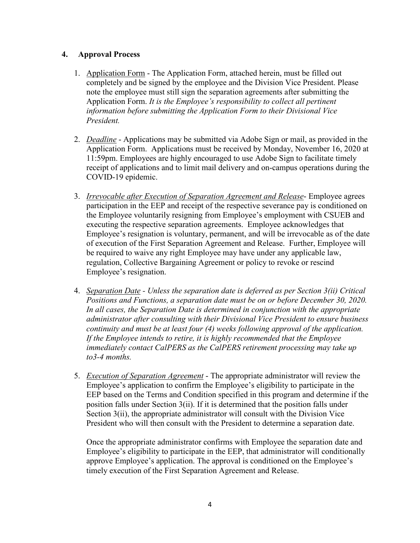## **4. Approval Process**

- 1. Application Form The Application Form, attached herein, must be filled out completely and be signed by the employee and the Division Vice President. Please note the employee must still sign the separation agreements after submitting the Application Form. *It is the Employee's responsibility to collect all pertinent information before submitting the Application Form to their Divisional Vice President.*
- 2. *Deadline* Applications may be submitted via Adobe Sign or mail, as provided in the Application Form. Applications must be received by Monday, November 16, 2020 at 11:59pm. Employees are highly encouraged to use Adobe Sign to facilitate timely receipt of applications and to limit mail delivery and on-campus operations during the COVID-19 epidemic.
- 3. *Irrevocable after Execution of Separation Agreement and Release* Employee agrees participation in the EEP and receipt of the respective severance pay is conditioned on the Employee voluntarily resigning from Employee's employment with CSUEB and executing the respective separation agreements. Employee acknowledges that Employee's resignation is voluntary, permanent, and will be irrevocable as of the date of execution of the First Separation Agreement and Release. Further, Employee will be required to waive any right Employee may have under any applicable law, regulation, Collective Bargaining Agreement or policy to revoke or rescind Employee's resignation.
- 4. *Separation Date - Unless the separation date is deferred as per Section 3(ii) Critical Positions and Functions, a separation date must be on or before December 30, 2020. In all cases, the Separation Date is determined in conjunction with the appropriate administrator after consulting with their Divisional Vice President to ensure business continuity and must be at least four (4) weeks following approval of the application. If the Employee intends to retire, it is highly recommended that the Employee immediately contact CalPERS as the CalPERS retirement processing may take up to3-4 months.*
- 5. *Execution of Separation Agreement* The appropriate administrator will review the Employee's application to confirm the Employee's eligibility to participate in the EEP based on the Terms and Condition specified in this program and determine if the position falls under Section 3(ii). If it is determined that the position falls under Section 3(ii), the appropriate administrator will consult with the Division Vice President who will then consult with the President to determine a separation date.

Once the appropriate administrator confirms with Employee the separation date and Employee's eligibility to participate in the EEP, that administrator will conditionally approve Employee's application. The approval is conditioned on the Employee's timely execution of the First Separation Agreement and Release.